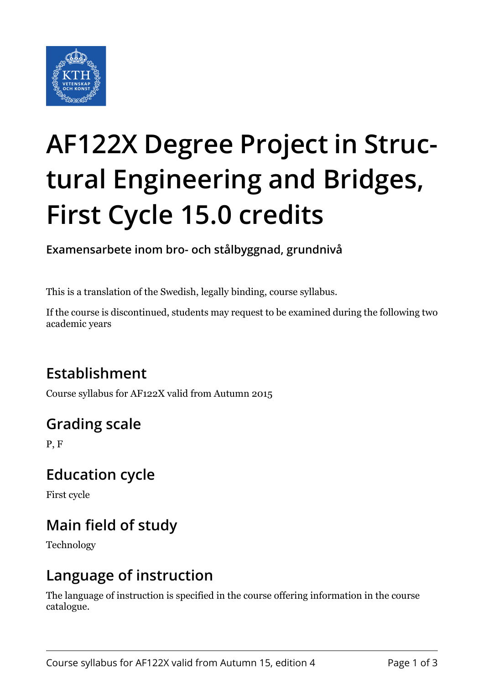

# **AF122X Degree Project in Structural Engineering and Bridges, First Cycle 15.0 credits**

**Examensarbete inom bro- och stålbyggnad, grundnivå**

This is a translation of the Swedish, legally binding, course syllabus.

If the course is discontinued, students may request to be examined during the following two academic years

# **Establishment**

Course syllabus for AF122X valid from Autumn 2015

# **Grading scale**

P, F

## **Education cycle**

First cycle

# **Main field of study**

Technology

## **Language of instruction**

The language of instruction is specified in the course offering information in the course catalogue.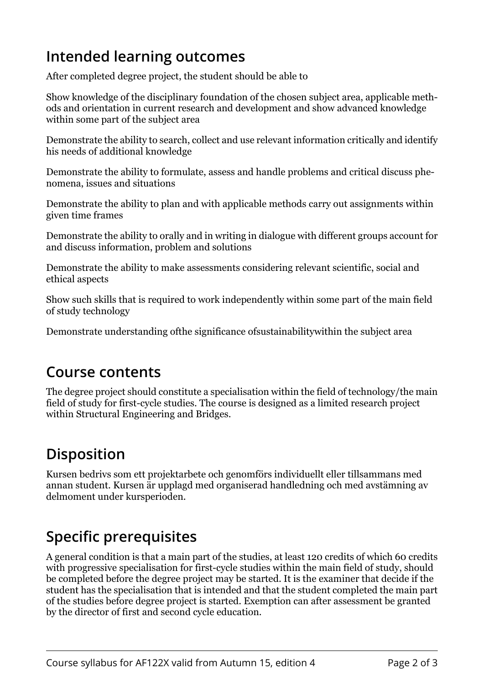## **Intended learning outcomes**

After completed degree project, the student should be able to

Show knowledge of the disciplinary foundation of the chosen subject area, applicable methods and orientation in current research and development and show advanced knowledge within some part of the subject area

Demonstrate the ability to search, collect and use relevant information critically and identify his needs of additional knowledge

Demonstrate the ability to formulate, assess and handle problems and critical discuss phenomena, issues and situations

Demonstrate the ability to plan and with applicable methods carry out assignments within given time frames

Demonstrate the ability to orally and in writing in dialogue with different groups account for and discuss information, problem and solutions

Demonstrate the ability to make assessments considering relevant scientific, social and ethical aspects

Show such skills that is required to work independently within some part of the main field of study technology

Demonstrate understanding ofthe significance ofsustainabilitywithin the subject area

#### **Course contents**

The degree project should constitute a specialisation within the field of technology/the main field of study for first-cycle studies. The course is designed as a limited research project within Structural Engineering and Bridges.

## **Disposition**

Kursen bedrivs som ett projektarbete och genomförs individuellt eller tillsammans med annan student. Kursen är upplagd med organiserad handledning och med avstämning av delmoment under kursperioden.

## **Specific prerequisites**

A general condition is that a main part of the studies, at least 120 credits of which 60 credits with progressive specialisation for first-cycle studies within the main field of study, should be completed before the degree project may be started. It is the examiner that decide if the student has the specialisation that is intended and that the student completed the main part of the studies before degree project is started. Exemption can after assessment be granted by the director of first and second cycle education.